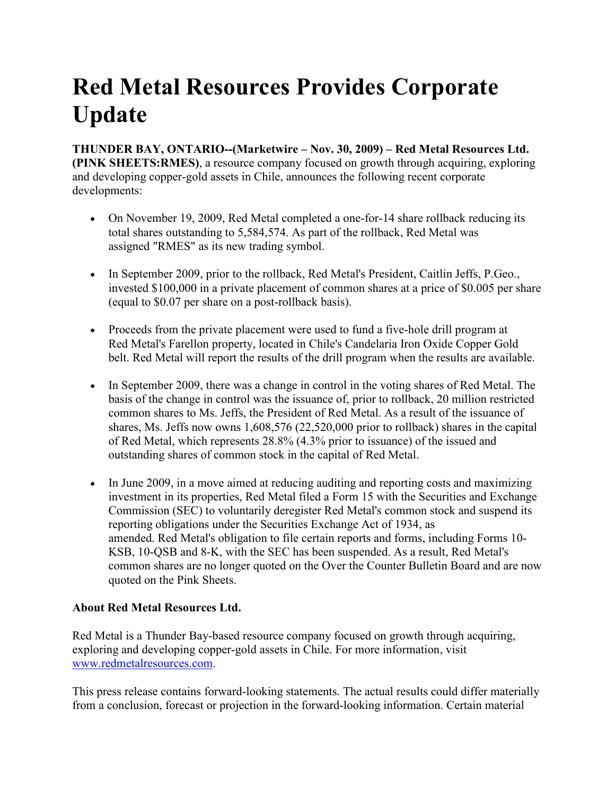## **Red Metal Resources Provides Corporate Update**

**THUNDER BAY, ONTARIO--(Marketwire – Nov. 30, 2009) – Red Metal Resources Ltd. (PINK SHEETS:RMES)**, a resource company focused on growth through acquiring, exploring and developing copper-gold assets in Chile, announces the following recent corporate developments:

- On November 19, 2009, Red Metal completed a one-for-14 share rollback reducing its total shares outstanding to 5,584,574. As part of the rollback, Red Metal was assigned "RMES" as its new trading symbol.
- In September 2009, prior to the rollback, Red Metal's President, Caitlin Jeffs, P.Geo., invested \$100,000 in a private placement of common shares at a price of \$0.005 per share (equal to \$0.07 per share on a post-rollback basis).
- Proceeds from the private placement were used to fund a five-hole drill program at Red Metal's Farellon property, located in Chile's Candelaria Iron Oxide Copper Gold belt. Red Metal will report the results of the drill program when the results are available.
- In September 2009, there was a change in control in the voting shares of Red Metal. The basis of the change in control was the issuance of, prior to rollback, 20 million restricted common shares to Ms. Jeffs, the President of Red Metal. As a result of the issuance of shares, Ms. Jeffs now owns 1,608,576 (22,520,000 prior to rollback) shares in the capital of Red Metal, which represents 28.8% (4.3% prior to issuance) of the issued and outstanding shares of common stock in the capital of Red Metal.
- In June 2009, in a move aimed at reducing auditing and reporting costs and maximizing investment in its properties, Red Metal filed a Form 15 with the Securities and Exchange Commission (SEC) to voluntarily deregister Red Metal's common stock and suspend its reporting obligations under the Securities Exchange Act of 1934, as amended. Red Metal's obligation to file certain reports and forms, including Forms 10- KSB, 10-QSB and 8-K, with the SEC has been suspended. As a result, Red Metal's common shares are no longer quoted on the Over the Counter Bulletin Board and are now quoted on the Pink Sheets.

## **About Red Metal Resources Ltd.**

Red Metal is a Thunder Bay-based resource company focused on growth through acquiring, exploring and developing copper-gold assets in Chile. For more information, visit www.redmetalresources.com.

This press release contains forward-looking statements. The actual results could differ materially from a conclusion, forecast or projection in the forward-looking information. Certain material